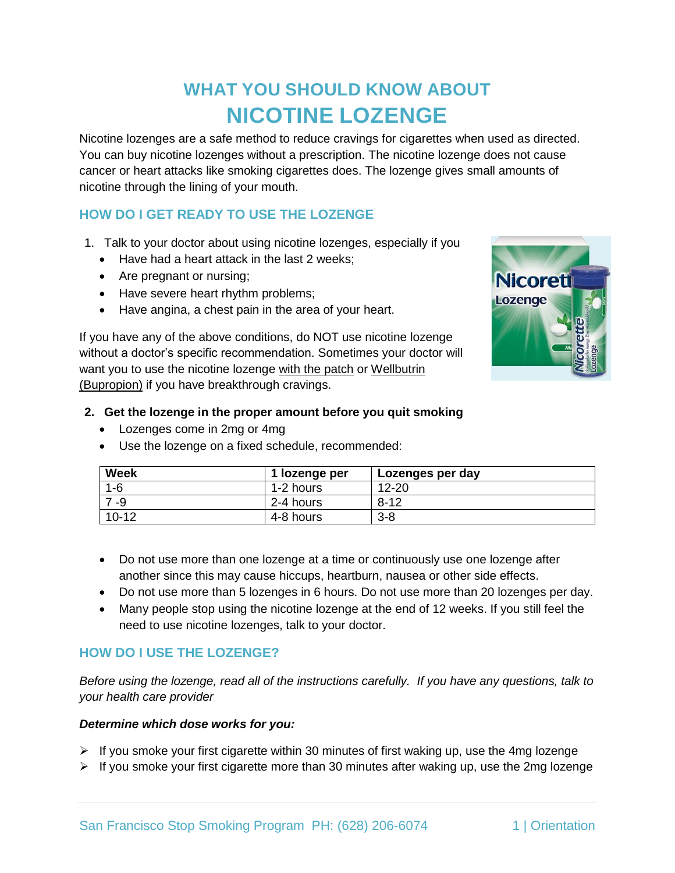# **WHAT YOU SHOULD KNOW ABOUT NICOTINE LOZENGE**

Nicotine lozenges are a safe method to reduce cravings for cigarettes when used as directed. You can buy nicotine lozenges without a prescription. The nicotine lozenge does not cause cancer or heart attacks like smoking cigarettes does. The lozenge gives small amounts of nicotine through the lining of your mouth.

# **HOW DO I GET READY TO USE THE LOZENGE**

- 1. Talk to your doctor about using nicotine lozenges, especially if you
	- Have had a heart attack in the last 2 weeks;
	- Are pregnant or nursing;
	- Have severe heart rhythm problems;
	- Have angina, a chest pain in the area of your heart.

If you have any of the above conditions, do NOT use nicotine lozenge without a doctor's specific recommendation. Sometimes your doctor will want you to use the nicotine lozenge with the patch or Wellbutrin (Bupropion) if you have breakthrough cravings.



#### **2. Get the lozenge in the proper amount before you quit smoking**

- Lozenges come in 2mg or 4mg
- Use the lozenge on a fixed schedule, recommended:

| <b>Week</b> | 1 lozenge per | Lozenges per day |
|-------------|---------------|------------------|
| $1 - 6$     | 1-2 hours     | $12 - 20$        |
| -9          | 2-4 hours     | $8 - 12$         |
| $10 - 12$   | 4-8 hours     | $3 - 8$          |

- Do not use more than one lozenge at a time or continuously use one lozenge after another since this may cause hiccups, heartburn, nausea or other side effects.
- Do not use more than 5 lozenges in 6 hours. Do not use more than 20 lozenges per day.
- Many people stop using the nicotine lozenge at the end of 12 weeks. If you still feel the need to use nicotine lozenges, talk to your doctor.

## **HOW DO I USE THE LOZENGE?**

*Before using the lozenge, read all of the instructions carefully. If you have any questions, talk to your health care provider*

#### *Determine which dose works for you:*

- $\triangleright$  If you smoke your first cigarette within 30 minutes of first waking up, use the 4mg lozenge
- $\triangleright$  If you smoke your first cigarette more than 30 minutes after waking up, use the 2mg lozenge